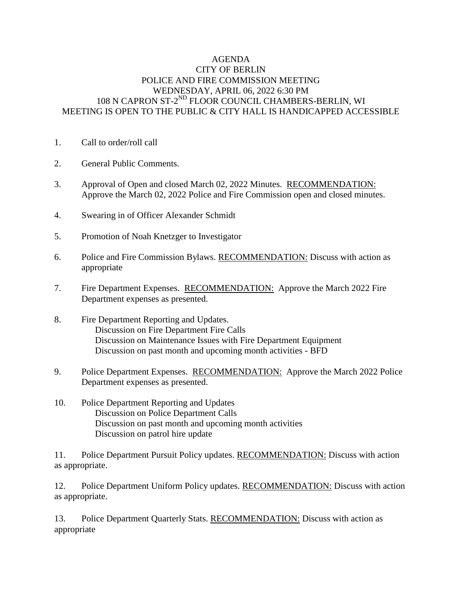## AGENDA CITY OF BERLIN POLICE AND FIRE COMMISSION MEETING WEDNESDAY, APRIL 06, 2022 6:30 PM 108 N CAPRON ST-2<sup>ND</sup> FLOOR COUNCIL CHAMBERS-BERLIN, WI MEETING IS OPEN TO THE PUBLIC & CITY HALL IS HANDICAPPED ACCESSIBLE

- 1. Call to order/roll call
- 2. General Public Comments.
- 3. Approval of Open and closed March 02, 2022 Minutes. RECOMMENDATION: Approve the March 02, 2022 Police and Fire Commission open and closed minutes.
- 4. Swearing in of Officer Alexander Schmidt
- 5. Promotion of Noah Knetzger to Investigator
- 6. Police and Fire Commission Bylaws. RECOMMENDATION: Discuss with action as appropriate
- 7. Fire Department Expenses. RECOMMENDATION: Approve the March 2022 Fire Department expenses as presented.
- 8. Fire Department Reporting and Updates. Discussion on Fire Department Fire Calls Discussion on Maintenance Issues with Fire Department Equipment Discussion on past month and upcoming month activities - BFD
- 9. Police Department Expenses. RECOMMENDATION: Approve the March 2022 Police Department expenses as presented.
- 10. Police Department Reporting and Updates Discussion on Police Department Calls Discussion on past month and upcoming month activities Discussion on patrol hire update

11. Police Department Pursuit Policy updates. RECOMMENDATION: Discuss with action as appropriate.

12. Police Department Uniform Policy updates. RECOMMENDATION: Discuss with action as appropriate.

13. Police Department Quarterly Stats. RECOMMENDATION: Discuss with action as appropriate